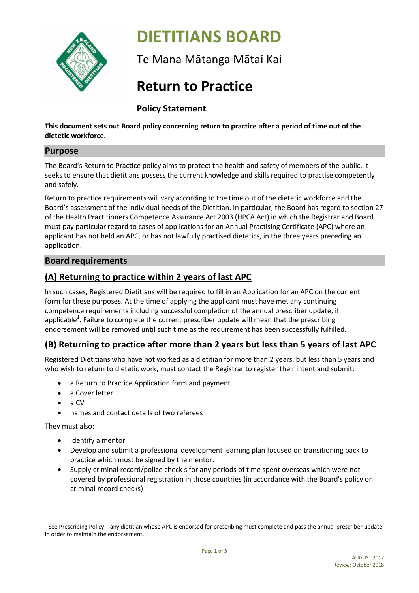

# **DIETITIANS BOARD**

Te Mana Mātanga Mātai Kai

## **Return to Practice**

**Policy Statement**

**This document sets out Board policy concerning return to practice after a period of time out of the dietetic workforce.**

#### **Purpose**

The Board's Return to Practice policy aims to protect the health and safety of members of the public. It seeks to ensure that dietitians possess the current knowledge and skills required to practise competently and safely.

Return to practice requirements will vary according to the time out of the dietetic workforce and the Board's assessment of the individual needs of the Dietitian. In particular, the Board has regard to section 27 of the Health Practitioners Competence Assurance Act 2003 (HPCA Act) in which the Registrar and Board must pay particular regard to cases of applications for an Annual Practising Certificate (APC) where an applicant has not held an APC, or has not lawfully practised dietetics, in the three years preceding an application.

#### **Board requirements**

### **(A) Returning to practice within 2 years of last APC**

In such cases, Registered Dietitians will be required to fill in an Application for an APC on the current form for these purposes. At the time of applying the applicant must have met any continuing competence requirements including successful completion of the annual prescriber update, if applicable<sup>1</sup>. Failure to complete the current prescriber update will mean that the prescribing endorsement will be removed until such time as the requirement has been successfully fulfilled.

#### **(B) Returning to practice after more than 2 years but less than 5 years of last APC**

Registered Dietitians who have not worked as a dietitian for more than 2 years, but less than 5 years and who wish to return to dietetic work, must contact the Registrar to register their intent and submit:

- a Return to Practice Application form and payment
- a Cover letter
- a CV
- names and contact details of two referees

They must also:

- Identify a mentor
- Develop and submit a professional development learning plan focused on transitioning back to practice which must be signed by the mentor.
- Supply criminal record/police check s for any periods of time spent overseas which were not covered by professional registration in those countries (in accordance with the Board's policy on criminal record checks)

 $\overline{\phantom{a}}$  $^1$  See Prescribing Policy – any dietitian whose APC is endorsed for prescribing must complete and pass the annual prescriber update in order to maintain the endorsement.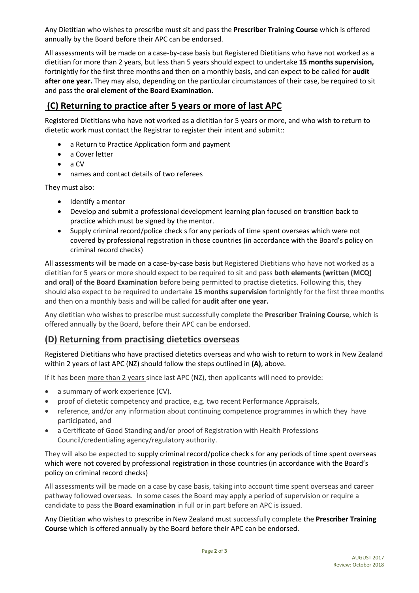Any Dietitian who wishes to prescribe must sit and pass the **Prescriber Training Course** which is offered annually by the Board before their APC can be endorsed.

All assessments will be made on a case-by-case basis but Registered Dietitians who have not worked as a dietitian for more than 2 years, but less than 5 years should expect to undertake **15 months supervision,**  fortnightly for the first three months and then on a monthly basis, and can expect to be called for **audit after one year.** They may also, depending on the particular circumstances of their case, be required to sit and pass the **oral element of the Board Examination.**

#### **(C) Returning to practice after 5 years or more of last APC**

Registered Dietitians who have not worked as a dietitian for 5 years or more, and who wish to return to dietetic work must contact the Registrar to register their intent and submit::

- a Return to Practice Application form and payment
- a Cover letter
- $\bullet$  a CV
- names and contact details of two referees

They must also:

- Identify a mentor
- Develop and submit a professional development learning plan focused on transition back to practice which must be signed by the mentor.
- Supply criminal record/police check s for any periods of time spent overseas which were not covered by professional registration in those countries (in accordance with the Board's policy on criminal record checks)

All assessments will be made on a case-by-case basis but Registered Dietitians who have not worked as a dietitian for 5 years or more should expect to be required to sit and pass **both elements (written (MCQ) and oral) of the Board Examination** before being permitted to practise dietetics. Following this, they should also expect to be required to undertake **15 months supervision** fortnightly for the first three months and then on a monthly basis and will be called for **audit after one year.**

Any dietitian who wishes to prescribe must successfully complete the **Prescriber Training Course**, which is offered annually by the Board, before their APC can be endorsed.

#### **(D) Returning from practising dietetics overseas**

Registered Dietitians who have practised dietetics overseas and who wish to return to work in New Zealand within 2 years of last APC (NZ) should follow the steps outlined in **(A)**, above.

If it has been more than 2 years since last APC (NZ), then applicants will need to provide:

- a summary of work experience (CV).
- proof of dietetic competency and practice, e.g. two recent Performance Appraisals,
- reference, and/or any information about continuing competence programmes in which they have participated, and
- a Certificate of Good Standing and/or proof of Registration with Health Professions Council/credentialing agency/regulatory authority.

They will also be expected to supply criminal record/police check s for any periods of time spent overseas which were not covered by professional registration in those countries (in accordance with the Board's policy on criminal record checks)

All assessments will be made on a case by case basis, taking into account time spent overseas and career pathway followed overseas. In some cases the Board may apply a period of supervision or require a candidate to pass the **Board examination** in full or in part before an APC is issued.

Any Dietitian who wishes to prescribe in New Zealand must successfully complete the **Prescriber Training Course** which is offered annually by the Board before their APC can be endorsed.